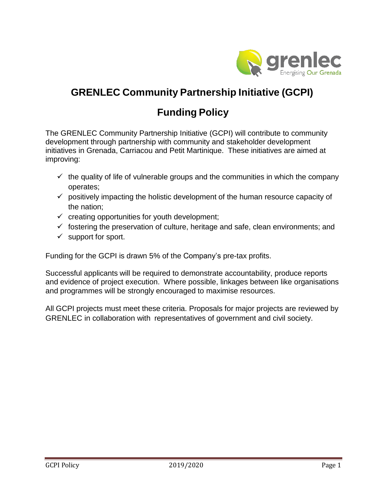

# **GRENLEC Community Partnership Initiative (GCPI)**

# **Funding Policy**

The GRENLEC Community Partnership Initiative (GCPI) will contribute to community development through partnership with community and stakeholder development initiatives in Grenada, Carriacou and Petit Martinique. These initiatives are aimed at improving:

- $\checkmark$  the quality of life of vulnerable groups and the communities in which the company operates;
- $\checkmark$  positively impacting the holistic development of the human resource capacity of the nation;
- $\checkmark$  creating opportunities for youth development;
- $\checkmark$  fostering the preservation of culture, heritage and safe, clean environments; and
- $\checkmark$  support for sport.

Funding for the GCPI is drawn 5% of the Company's pre-tax profits.

Successful applicants will be required to demonstrate accountability, produce reports and evidence of project execution. Where possible, linkages between like organisations and programmes will be strongly encouraged to maximise resources.

All GCPI projects must meet these criteria. Proposals for major projects are reviewed by GRENLEC in collaboration with representatives of government and civil society.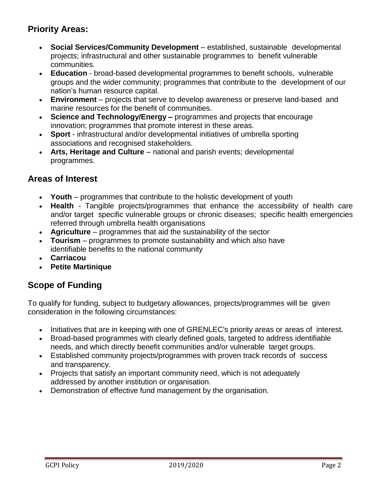# **Priority Areas:**

- **Social Services/Community Development**  established, sustainable developmental projects; infrastructural and other sustainable programmes to benefit vulnerable communities.
- **Education**  broad-based developmental programmes to benefit schools, vulnerable groups and the wider community; programmes that contribute to the development of our nation's human resource capital.
- **Environment**  projects that serve to develop awareness or preserve land-based and marine resources for the benefit of communities.
- **Science and Technology/Energy –** programmes and projects that encourage innovation; programmes that promote interest in these areas.
- **Sport**  infrastructural and/or developmental initiatives of umbrella sporting associations and recognised stakeholders.
- **Arts, Heritage and Culture**  national and parish events; developmental programmes.

## **Areas of Interest**

- **Youth**  programmes that contribute to the holistic development of youth
- **Health**  Tangible projects/programmes that enhance the accessibility of health care and/or target specific vulnerable groups or chronic diseases; specific health emergencies referred through umbrella health organisations
- **Agriculture**  programmes that aid the sustainability of the sector
- **Tourism**  programmes to promote sustainability and which also have identifiable benefits to the national community
- **Carriacou**
- **Petite Martinique**

### **Scope of Funding**

To qualify for funding, subject to budgetary allowances, projects/programmes will be given consideration in the following circumstances:

- Initiatives that are in keeping with one of GRENLEC's priority areas or areas of interest.
- Broad-based programmes with clearly defined goals, targeted to address identifiable needs, and which directly benefit communities and/or vulnerable target groups.
- Established community projects/programmes with proven track records of success and transparency.
- Projects that satisfy an important community need, which is not adequately addressed by another institution or organisation.
- Demonstration of effective fund management by the organisation.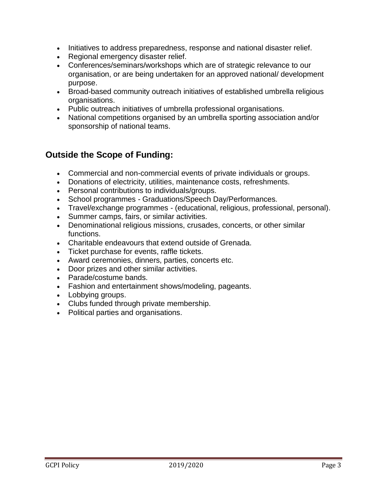- Initiatives to address preparedness, response and national disaster relief.
- Regional emergency disaster relief.
- Conferences/seminars/workshops which are of strategic relevance to our organisation, or are being undertaken for an approved national/ development purpose.
- Broad-based community outreach initiatives of established umbrella religious organisations.
- Public outreach initiatives of umbrella professional organisations.
- National competitions organised by an umbrella sporting association and/or sponsorship of national teams.

# **Outside the Scope of Funding:**

- Commercial and non-commercial events of private individuals or groups.
- Donations of electricity, utilities, maintenance costs, refreshments.
- Personal contributions to individuals/groups.
- School programmes Graduations/Speech Day/Performances.
- Travel/exchange programmes (educational, religious, professional, personal).
- Summer camps, fairs, or similar activities.
- Denominational religious missions, crusades, concerts, or other similar functions.
- Charitable endeavours that extend outside of Grenada.
- Ticket purchase for events, raffle tickets.
- Award ceremonies, dinners, parties, concerts etc.
- Door prizes and other similar activities.
- Parade/costume bands.
- Fashion and entertainment shows/modeling, pageants.
- Lobbying groups.
- Clubs funded through private membership.
- Political parties and organisations.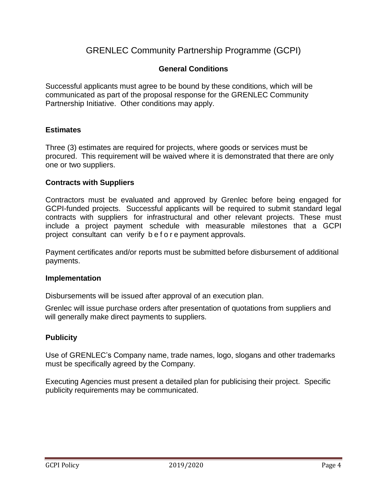# GRENLEC Community Partnership Programme (GCPI)

#### **General Conditions**

Successful applicants must agree to be bound by these conditions, which will be communicated as part of the proposal response for the GRENLEC Community Partnership Initiative. Other conditions may apply.

#### **Estimates**

Three (3) estimates are required for projects, where goods or services must be procured. This requirement will be waived where it is demonstrated that there are only one or two suppliers.

#### **Contracts with Suppliers**

Contractors must be evaluated and approved by Grenlec before being engaged for GCPI-funded projects. Successful applicants will be required to submit standard legal contracts with suppliers for infrastructural and other relevant projects. These must include a project payment schedule with measurable milestones that a GCPI project consultant can verify b e f o r e payment approvals.

Payment certificates and/or reports must be submitted before disbursement of additional payments.

#### **Implementation**

Disbursements will be issued after approval of an execution plan.

Grenlec will issue purchase orders after presentation of quotations from suppliers and will generally make direct payments to suppliers.

#### **Publicity**

Use of GRENLEC's Company name, trade names, logo, slogans and other trademarks must be specifically agreed by the Company.

Executing Agencies must present a detailed plan for publicising their project. Specific publicity requirements may be communicated.